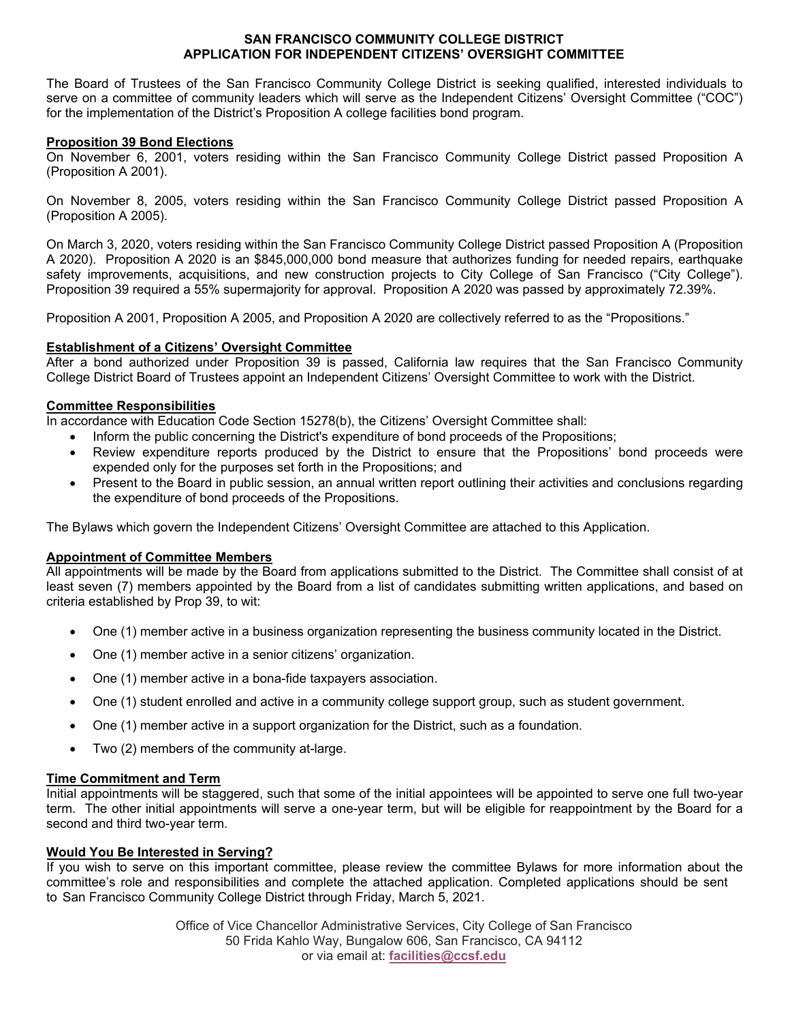#### **SAN FRANCISCO COMMUNITY COLLEGE DISTRICT APPLICATION FOR INDEPENDENT CITIZENS' OVERSIGHT COMMITTEE**

The Board of Trustees of the San Francisco Community College District is seeking qualified, interested individuals to serve on a committee of community leaders which will serve as the Independent Citizens' Oversight Committee ("COC") for the implementation of the District's Proposition A college facilities bond program.

# **Proposition 39 Bond Elections**

On November 6, 2001, voters residing within the San Francisco Community College District passed Proposition A (Proposition A 2001).

On November 8, 2005, voters residing within the San Francisco Community College District passed Proposition A (Proposition A 2005).

safety improvements, acquisitions, and new construction projects to City College of San Francisco ("City College").<br>Proposition 39 required a 55% supermajority for approval. Proposition A 2020 was passed by approximately 7 On March 3, 2020, voters residing within the San Francisco Community College District passed Proposition A (Proposition A 2020). Proposition A 2020 is an \$845,000,000 bond measure that authorizes funding for needed repairs, earthquake

Proposition A 2001, Proposition A 2005, and Proposition A 2020 are collectively referred to as the "Propositions."

# **Establishment of a Citizens' Oversight Committee**

After a bond authorized under Proposition 39 is passed, California law requires that the San Francisco Community College District Board of Trustees appoint an Independent Citizens' Oversight Committee to work with the District.

# **Committee Responsibilities**

In accordance with Education Code Section 15278(b), the Citizens' Oversight Committee shall:

- Inform the public concerning the District's expenditure of bond proceeds of the Propositions;
- Review expenditure reports produced by the District to ensure that the Propositions' bond proceeds were expended only for the purposes set forth in the Propositions; and
- Present to the Board in public session, an annual written report outlining their activities and conclusions regarding the expenditure of bond proceeds of the Propositions.

The Bylaws which govern the Independent Citizens' Oversight Committee are attached to this Application.

#### **Appointment of Committee Members**

All appointments will be made by the Board from applications submitted to the District. The Committee shall consist of at least seven (7) members appointed by the Board from a list of candidates submitting written applications, and based on criteria established by Prop 39, to wit:

- One (1) member active in a business organization representing the business community located in the District.
- One (1) member active in a senior citizens' organization.
- One (1) member active in a bona-fide taxpayers association.
- One (1) student enrolled and active in a community college support group, such as student government.
- One (1) member active in a support organization for the District, such as a foundation.
- Two (2) members of the community at-large.

#### **Time Commitment and Term**

Initial appointments will be staggered, such that some of the initial appointees will be appointed to serve one full two-year term. The other initial appointments will serve a one-year term, but will be eligible for reappointment by the Board for a second and third two-year term.

#### **Would You Be Interested in Serving?**

If you wish to serve on this important committee, please review the committee Bylaws for more information about the committee's role and responsibilities and complete the attached application. Completed applications should be sent to San Francisco Community College District through Friday, March 5, 2021.

> Office of Vice Chancellor Administrative Services, City College of San Francisco 50 Frida Kahlo Way, Bungalow 606, San Francisco, CA 94112 or via email at: **facilities[@ccsf.edu](mailto:mlam@ccsf.edu)**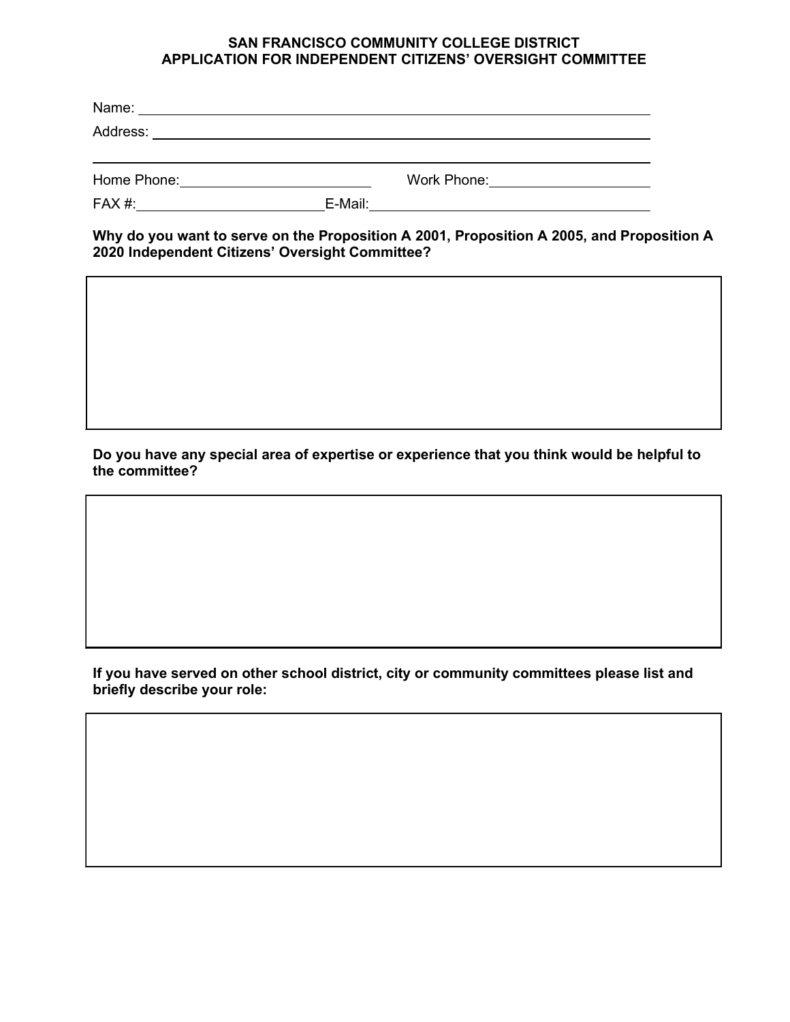# **SAN FRANCISCO COMMUNITY COLLEGE DISTRICT APPLICATION FOR INDEPENDENT CITIZENS' OVERSIGHT COMMITTEE**

| Name:       |         |             |  |
|-------------|---------|-------------|--|
| Address:    |         |             |  |
|             |         |             |  |
| Home Phone: |         | Work Phone: |  |
| FAX #:      | E-Mail: |             |  |

 **Why do you want to serve on the Proposition A 2001, Proposition A 2005, and Proposition A 2020 Independent Citizens' Oversight Committee?** 

**Do you have any special area of expertise or experience that you think would be helpful to the committee?** 

**If you have served on other school district, city or community committees please list and briefly describe your role:**